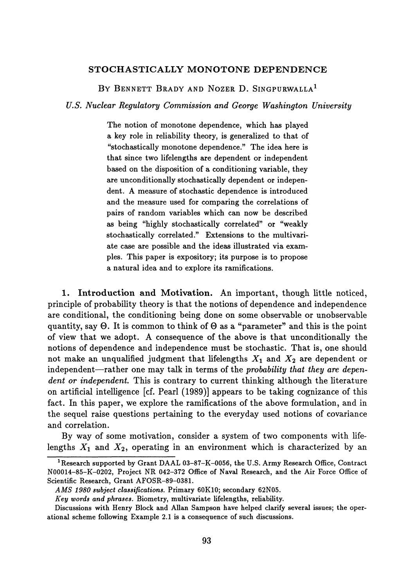## **STOCHASTICALLY MONOTONE DEPENDENCE**

BY BENNETT BRADY AND NOZER D. SINGPURWALLA<sup>1</sup>

*U.S. Nuclear Regulatory Commission and George Washington University*

The notion of monotone dependence, which has played a key role in reliability theory, is generalized to that of "stochastically monotone dependence." The idea here is that since two lifelengths are dependent or independent based on the disposition of a conditioning variable, they are unconditionally stochastically dependent or indepen dent. A measure of stochastic dependence is introduced and the measure used for comparing the correlations of pairs of random variables which can now be described as being "highly stochastically correlated" or "weakly stochastically correlated." Extensions to the multivari ate case are possible and the ideas illustrated via exam ples. This paper is expository; its purpose is to propose a natural idea and to explore its ramifications.

**1. Introduction and Motivation.** An important, though little noticed, principle of probability theory is that the notions of dependence and independence are conditional, the conditioning being done on some observable or unobservable quantity, say Θ. It is common to think of Θ as a "parameter" and this is the point of view that we adopt. A consequence of the above is that unconditionally the notions of dependence and independence must be stochastic. That is, one should not make an unqualified judgment that lifelengths *X\* and *X2* are dependent or independent—rather one may talk in terms of the *probability that they are dependent or independent*. This is contrary to current thinking although the literature on artificial intelligence [cf. Pearl (1989)] appears to be taking cognizance of this fact. In this paper, we explore the ramifications of the above formulation, and in the sequel raise questions pertaining to the everyday used notions of covariance and correlation.

By way of some motivation, consider a system of two components with life lengths  $X_1$  and  $X_2$ , operating in an environment which is characterized by an

<sup>&</sup>lt;sup>1</sup> Research supported by Grant DAAL 03-87-K-0056, the U.S. Army Research Office, Contract N00014-85-K-0202, Project NR 042-372 Office of Naval Research, and the Air Force Office of Scientific Research, Grant AFOSR-89-0381.

*AMS 1980 subject classifications.* Primary 60K10; secondary 62N05.

*Key words and phrases.* Biometry, multivariate lifelengths, reliability.

Discussions with Henry Block and Allan Sampson have helped clarify several issues; the oper ational scheme following Example 2.1 is a consequence of such discussions.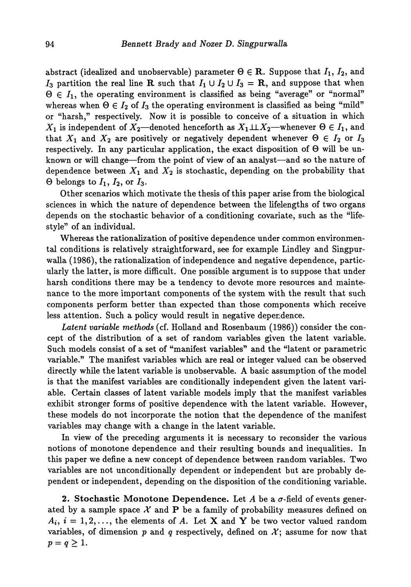abstract (idealized and unobservable) parameter  $\Theta \in \mathbb{R}$ . Suppose that  $I_1, I_2$ , and I<sub>3</sub> partition the real line **R** such that  $I_1 \cup I_2 \cup I_3 = \mathbf{R}$ , and suppose that when  $\Theta \in I_1$ , the operating environment is classified as being "average" or "normal" whereas when  $\Theta \in I_2$  of  $I_3$  the operating environment is classified as being "mild" or "harsh," respectively. Now it is possible to conceive of a situation in which *X*<sub>1</sub> is independent of  $X_2$ —denoted henceforth as  $X_1 \perp \perp X_2$ —whenever  $\Theta \in I_1$ , and that  $X_1$  and  $X_2$  are positively or negatively dependent whenever  $\Theta \in I_2$  or  $I_3$ respectively. In any particular application, the exact disposition of Θ will be un known or will change—from the point of view of an analyst—and so the nature of dependence between  $X_1$  and  $X_2$  is stochastic, depending on the probability that  $\Theta$  belongs to  $I_1$ ,  $I_2$ , or  $I_3$ .

Other scenarios which motivate the thesis of this paper arise from the biological sciences in which the nature of dependence between the lifelengths of two organs depends on the stochastic behavior of a conditioning covariate, such as the "life style" of an individual.

Whereas the rationalization of positive dependence under common environmen tal conditions is relatively straightforward, see for example Lindley and Singpur walla (1986), the rationalization of independence and negative dependence, partic ularly the latter, is more difficult. One possible argument is to suppose that under harsh conditions there may be a tendency to devote more resources and mainte nance to the more important components of the system with the result that such components perform better than expected than those components which receive less attention. Such a policy would result in negative dependence.

*Latent variable methods* (cf. Holland and Rosenbaum (1986)) consider the con cept of the distribution of a set of random variables given the latent variable. Such models consist of a set of "manifest variables" and the "latent or parametric variable." The manifest variables which are real or integer valued can be observed directly while the latent variable is unobservable. A basic assumption of the model is that the manifest variables are conditionally independent given the latent vari able. Certain classes of latent variable models imply that the manifest variables exhibit stronger forms of positive dependence with the latent variable. However, these models do not incorporate the notion that the dependence of the manifest variables may change with a change in the latent variable.

In view of the preceding arguments it is necessary to reconsider the various notions of monotone dependence and their resulting bounds and inequalities. In this paper we define a new concept of dependence between random variables. Two variables are not unconditionally dependent or independent but are probably de pendent or independent, depending on the disposition of the conditioning variable.

**2. Stochastic Monotone Dependence.** Let A be a  $\sigma$ -field of events generated by a sample space  $\mathcal X$  and **P** be a family of probability measures defined on  $A_i$ ,  $i = 1, 2, \ldots$ , the elements of A. Let **X** and **Y** be two vector valued random variables, of dimension p and q respectively, defined on  $\mathcal{X}$ ; assume for now that  $p = q \geq 1$ .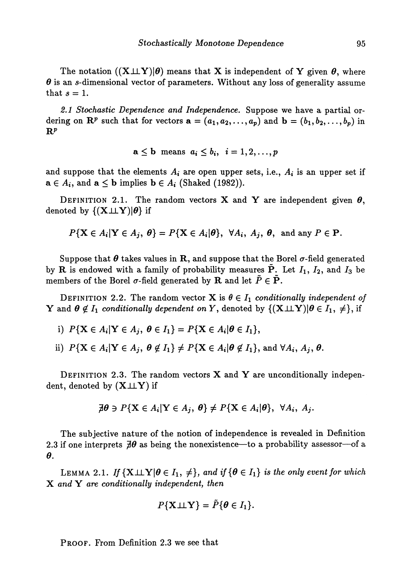The notation  $((X \perp \perp Y)|\theta)$  means that X is independent of Y given  $\theta$ , where  $\theta$  is an s-dimensional vector of parameters. Without any loss of generality assume that  $s = 1$ .

*2.1 Stochastic Dependence and Independence.* Suppose we have a partial or dering on  $\mathbb{R}^p$  such that for vectors  $\mathbf{a} = (a_1, a_2, \ldots, a_p)$  and  $\mathbf{b} = (b_1, b_2, \ldots, b_p)$  in  $\mathbf{R}^p$ 

$$
\mathbf{a} \leq \mathbf{b} \ \ \text{means} \ \ a_i \leq b_i, \ \ i = 1, 2, \dots, p
$$

and suppose that the elements  $A_i$  are open upper sets, i.e.,  $A_i$  is an upper set if  $\mathbf{a} \in A_i$ , and  $\mathbf{a} \leq \mathbf{b}$  implies  $\mathbf{b} \in A_i$  (Shaked (1982)).

DEFINITION 2.1. The random vectors **X** and **Y** are independent given  $\theta$ , denoted by  $\{(\mathbf{X} \perp \perp \mathbf{Y})|\theta\}$  if

 $P\{X \in A_i | Y \in A_j, \theta\} = P\{X \in A_i | \theta\}, \ \forall A_i, A_j, \theta, \text{ and any } P \in \mathbf{P}.$ 

Suppose that  $\theta$  takes values in R, and suppose that the Borel  $\sigma$ -field generated by R is endowed with a family of probability measures  $\tilde{P}$ . Let  $I_1$ ,  $I_2$ , and  $I_3$  be members of the Borel  $\sigma$ -field generated by **R** and let  $\tilde{P} \in \tilde{P}$ .

DEFINITION 2.2. The random vector **X** is  $\theta \in I_1$  conditionally independent of *Y* and  $\theta \notin I_1$  *conditionally dependent on Y*, denoted by  $\{(\mathbf{X} \perp \perp \mathbf{Y}) | \theta \in I_1, \neq \}$ , if

- i)  $P\{X \in A_i | Y \in A_j, \ \theta \in I_1\} = P\{X \in A_i | \theta \in I_1\},\$
- ii)  $P\{ \mathbf{X} \in A_i | \mathbf{Y} \in A_j, \ \boldsymbol{\theta} \notin I_1 \} \neq P\{ \mathbf{X} \in A_i | \boldsymbol{\theta} \notin I_1 \}, \text{ and } \forall A_i, A_j, \boldsymbol{\theta}.$

DEFINITION 2.3. The random vectors  $X$  and  $Y$  are unconditionally independent, denoted by  $(X \perp \perp Y)$  if

$$
\not\exists \theta \ni P\{X \in A_i | Y \in A_j, \theta\} \neq P\{X \in A_i | \theta\}, \ \forall A_i, A_j.
$$

The subjective nature of the notion of independence is revealed in Definition 2.3 if one interprets  $\overline{d}\theta$  as being the nonexistence—to a probability assessor—of a  $\boldsymbol{\theta}$ .

LEMMA 2.1. If  $\{X \perp \hspace{-0.1cm}\perp Y | \theta \in I_1, \neq\}$ , and if  $\{\theta \in I_1\}$  is the only event for which X *and Y are conditionally independent, then*

$$
P\{\mathbf{X} \perp \hspace{-0.12cm}\perp \mathbf{Y}\}=\tilde{P}\{\boldsymbol{\theta}\in I_1\}.
$$

PROOF. From Definition 2.3 we see that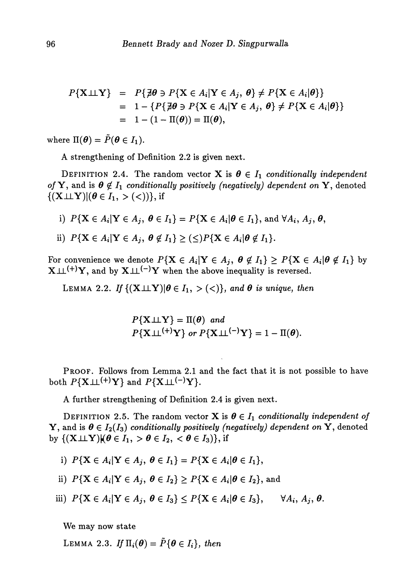$$
P\{\mathbf{X} \perp \mathbf{Y}\} = P\{\nexists \theta \ni P\{\mathbf{X} \in A_i | \mathbf{Y} \in A_j, \theta\} \neq P\{\mathbf{X} \in A_i | \theta\}\}
$$
  
= 1 - {P\{\nexists \theta \ni P\{\mathbf{X} \in A\_i | \mathbf{Y} \in A\_j, \theta\} \neq P\{\mathbf{X} \in A\_i | \theta\}\}}  
= 1 - (1 - \Pi(\theta)) = \Pi(\theta),

where  $\Pi(\boldsymbol{\theta}) = \tilde{P}(\boldsymbol{\theta} \in I_1)$ .

A strengthening of Definition 2.2 is given next.

DEFINITION 2.4. The random vector **X** is  $\theta \in I_1$  conditionally independent *of* Y, and is  $\theta \notin I_1$  *conditionally positively (negatively) dependent on* Y, denoted  $\{(\mathbf{X} \perp \perp \mathbf{Y}) | (\boldsymbol{\theta} \in I_1, > (<))\},\}$  if

- i)  $P\{ \mathbf{X} \in A_i | \mathbf{Y} \in A_j, \ \boldsymbol{\theta} \in I_1 \} = P\{ \mathbf{X} \in A_i | \boldsymbol{\theta} \in I_1 \}, \text{ and } \forall A_i, A_j, \boldsymbol{\theta},$
- ii)  $P\{ \mathbf{X} \in A_i | \mathbf{Y} \in A_j, \ \theta \notin I_1 \} \geq (\leq) P\{ \mathbf{X} \in A_i | \theta \notin I_1 \}.$

For convenience we denote  $P\{X \in A_i | Y \in A_j, \theta \notin I_1\} \geq P\{X \in A_i | \theta \notin I_1\}$  by  $X \perp\!\!\!\perp^{(+)} Y,$  and by  $X \perp\!\!\!\perp^{(-)} Y$  when the above inequality is reversed.

LEMMA 2.2. If  $\{(\mathbf{X \perp \!\!\! \perp} \mathbf{Y}) | \theta \in I_1, > (<)\},$  and  $\boldsymbol{\theta}$  is unique, then

 $P{X \perp \perp Y} = \Pi(\theta)$  and  $P\{\mathbf{X} \perp (t+1) \mathbf{Y}\}$  or  $P\{\mathbf{X} \perp (t-1) \mathbf{Y}\} = 1 - \Pi(\boldsymbol{\theta}).$ 

PROOF. Follows from Lemma 2.1 and the fact that it is not possible to have both  $P\{X \perp \!\!\!\perp^{(+)} Y\}$  and  $P\{X \perp \!\!\!\perp^{(-)} Y\}.$ 

A further strengthening of Definition 2.4 is given next.

DEFINITION 2.5. The random vector **X** is  $\theta \in I_1$  conditionally independent of Y, and is  $\theta \in I_2(I_3)$  conditionally positively (negatively) dependent on Y, denoted by  $\{(\mathbf{X} \perp \hspace{-0.1cm} \perp \hspace{-0.1cm} \mathbf{Y}) | (\boldsymbol{\theta} \in I_1, > \boldsymbol{\theta} \in I_2, < \boldsymbol{\theta} \in I_3)\},$  if

i)  $P{\bf{X} \in A_i | \mathbf{Y} \in A_j, \ \theta \in I_1} = P{\bf{X} \in A_i | \theta \in I_1},$ 

ii)  $P\{X \in A_i | Y \in A_j, \ \theta \in I_2\} \geq P\{X \in A_i | \theta \in I_2\}$ , and

iii)  $P\{X \in A_i | Y \in A_j, \ \theta \in I_3\} \leq P\{X \in A_i | \theta \in I_3\}, \quad \forall A_i, A_j, \theta.$ 

We may now state

LEMMA 2.3. If  $\Pi_i(\boldsymbol{\theta}) = \tilde{P} \{ \boldsymbol{\theta} \in I_i \}$ , then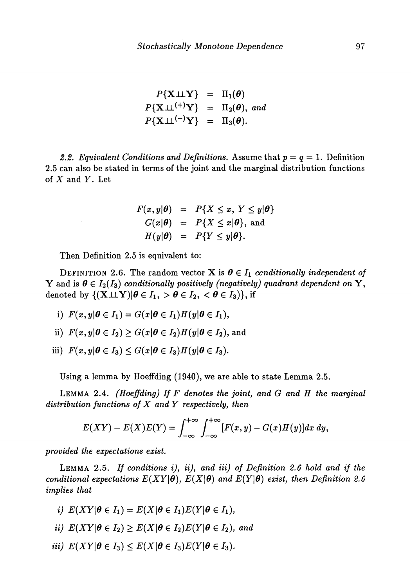$$
P\{X \perp \perp Y\} = \Pi_1(\theta)
$$
  

$$
P\{X \perp \perp^{(+)} Y\} = \Pi_2(\theta), \text{ and}
$$
  

$$
P\{X \perp \perp^{(-)} Y\} = \Pi_3(\theta).
$$

2.2. Equivalent Conditions and Definitions. Assume that  $p = q = 1$ . Definition 2.5 can also be stated in terms of the joint and the marginal distribution functions of *X* and *Y.* Let

$$
F(x, y | \theta) = P\{X \le x, Y \le y | \theta\}
$$
  
\n
$$
G(x | \theta) = P\{X \le x | \theta\}, \text{ and}
$$
  
\n
$$
H(y | \theta) = P\{Y \le y | \theta\}.
$$

Then Definition 2.5 is equivalent to:

DEFINITION 2.6. The random vector **X** is  $\theta \in I_1$  conditionally independent of Y and is  $\theta \in I_2(I_3)$  conditionally positively (negatively) quadrant dependent on Y, denoted by  $\{(\mathbf{X} \perp \mathbf{Y}) | \boldsymbol{\theta} \in I_1, > \boldsymbol{\theta} \in I_2, < \boldsymbol{\theta} \in I_3\}$ , if

- i)  $F(x,y|\theta \in I_1) = G(x|\theta \in I_1)H(y|\theta \in I_1),$
- $F(x, y | \theta \in I_2) \ge G(x | \theta \in I_2)H(y|\theta \in I_2)$ , and
- iii)  $F(x, y | \theta \in I_3) \le G(x | \theta \in I_3) H(y | \theta \in I_3)$ .

Using a lemma by Hoeffding (1940), we are able to state Lemma 2.5.

LEMMA 2.4. *(Hoeffding) If F denotes the joint, and G and H the marginal distribution functions of X and Y respectively, then*

$$
E(XY) - E(X)E(Y) = \int_{-\infty}^{+\infty} \int_{-\infty}^{+\infty} [F(x, y) - G(x)H(y)]dx dy,
$$

*provided the expectations exist.*

LEMMA 2.5. *If conditions i), ii), and iii) of Definition 2.6 hold and if the conditional expectations*  $E(XY|\theta)$ *,*  $E(X|\theta)$  *and*  $E(Y|\theta)$  *exist, then Definition 2.6 implies that*

- *i)*  $E(XY|\theta \in I_1) = E(X|\theta \in I_1)E(Y|\theta \in I_1),$
- *ii)*  $E(XY|\boldsymbol{\theta} \in I_2) \ge E(X|\boldsymbol{\theta} \in I_2)E(Y|\boldsymbol{\theta} \in I_2)$ , and
- *iii)*  $E(XY|\theta \in I_3) \le E(X|\theta \in I_3)E(Y|\theta \in I_3)$ .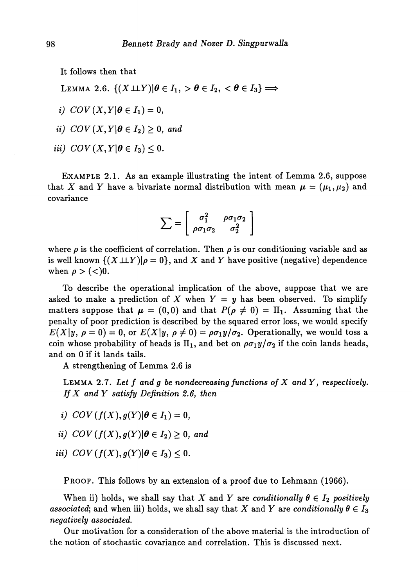It follows then that

LEMMA 2.6.  $\{(X \perp \perp Y) | \theta \in I_1, > \theta \in I_2, < \theta \in I_3\}$ 

i)  $COV(X,Y|\theta \in I_1) = 0$ ,

$$
ii) \quad COV(X,Y|\theta \in I_2) \geq 0, \text{ and}
$$

*iii*)  $COV(X,Y|\theta \in I_3) \leq 0$ .

EXAMPLE 2.1. As an example illustrating the intent of Lemma 2.6, suppose that X and Y have a bivariate normal distribution with mean  $\mu = (\mu_1, \mu_2)$  and covariance

$$
\sum = \left[ \begin{array}{cc} \sigma_1^2 & \rho \sigma_1 \sigma_2 \\ \rho \sigma_1 \sigma_2 & \sigma_2^2 \end{array} \right]
$$

where  $\rho$  is the coefficient of correlation. Then  $\rho$  is our conditioning variable and as is well known  $\{(X \perp \perp Y)| \rho = 0\}$ , and X and Y have positive (negative) dependence when  $\rho$  > (<)0.

To describe the operational implication of the above, suppose that we are asked to make a prediction of X when  $Y = y$  has been observed. To simplify matters suppose that  $\mu = (0,0)$  and that  $P(\rho \neq 0) = \Pi_1$ . Assuming that the penalty of poor prediction is described by the squared error loss, we would specify  $E(X|y, \rho = 0) = 0$ , or  $E(X|y, \rho \neq 0) = \rho \sigma_1 y / \sigma_2$ . Operationally, we would toss a coin whose probability of heads is  $\Pi_1$ , and bet on  $\rho\sigma_1 y/\sigma_2$  if the coin lands heads, and on 0 if it lands tails.

A strengthening of Lemma 2.6 is

LEMMA 2.7. Let f and g be nondecreasing functions of X and Y, respectively. *If X andY satisfy Definition 2.6, then*

- i)  $COV(f(X), g(Y)|\theta \in I_1) = 0$ ,
- *ii)*  $COV(f(X), g(Y)|\theta \in I_2) \geq 0$ , and
- *iii*)  $COV(f(X), g(Y)|\theta \in I_3) \leq 0$ .

PROOF. This follows by an extension of a proof due to Lehmann (1966).

When ii) holds, we shall say that X and Y are *conditionally*  $\theta \in I_2$  *positively associated*; and when iii) holds, we shall say that X and Y are *conditionally*  $\theta \in I_3$ *negatively associated.*

Our motivation for a consideration of the above material is the introduction of the notion of stochastic covariance and correlation. This is discussed next.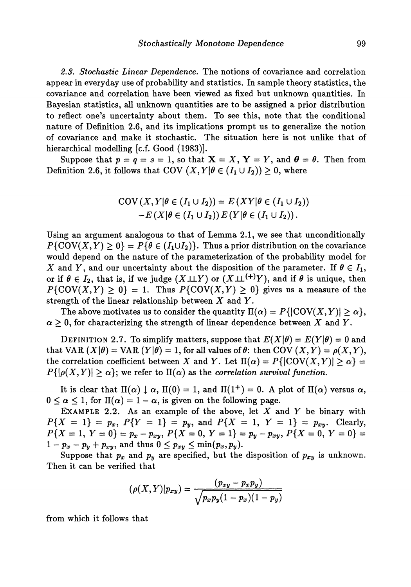*2.3. Stochastic Linear Dependence.* The notions of covariance and correlation appear in everyday use of probability and statistics. In sample theory statistics, the covariance and correlation have been viewed as fixed but unknown quantities. In Bayesian statistics, all unknown quantities are to be assigned a prior distribution to reflect one's uncertainty about them. To see this, note that the conditional nature of Definition 2.6, and its implications prompt us to generalize the notion of covariance and make it stochastic. The situation here is not unlike that of hierarchical modelling [c.f. Good (1983)].

Suppose that  $p = q = s = 1$ , so that  $X = X$ ,  $Y = Y$ , and  $\theta = \theta$ . Then from Definition 2.6, it follows that COV  $(X, Y | \theta \in (I_1 \cup I_2)) \geq 0$ , where

$$
COV(X, Y | \theta \in (I_1 \cup I_2)) = E(XY | \theta \in (I_1 \cup I_2))
$$
  
-E(X | \theta \in (I\_1 \cup I\_2)) E(Y | \theta \in (I\_1 \cup I\_2)).

Using an argument analogous to that of Lemma 2.1, we see that unconditionally  $P\{\text{COV}(X,Y)\geq 0\} = P\{\theta \in (I_1\cup I_2)\}\.$  Thus a prior distribution on the covariance would depend on the nature of the parameterization of the probability model for *X* and *Y*, and our uncertainty about the disposition of the parameter. If  $\theta \in I_1$ , or if  $\theta \in I_2$ , that is, if we judge  $(X \perp \!\!\! \perp Y)$  or  $(X \perp \!\!\! \perp^{(+)}Y),$  and if  $\theta$  is unique, then  $P\{COV(X, Y) \ge 0\} = 1$ . Thus  $P\{COV(X, Y) \ge 0\}$  gives us a measure of the strength of the linear relationship between *X* and *Y.*

The above motivates us to consider the quantity  $\Pi(\alpha) = P\{|\text{COV}(X,Y)| \geq \alpha\},\$  $\alpha \geq 0$ , for characterizing the strength of linear dependence between X and Y.

DEFINITION 2.7. To simplify matters, suppose that  $E(X|\theta) = E(Y|\theta) = 0$  and that VAR  $(X|\theta) = \text{VAR } (Y|\theta) = 1$ , for all values of  $\theta$ : then COV  $(X, Y) = \rho(X, Y),$ the correlation coefficient between X and Y. Let  $\Pi(\alpha) = P\{|\text{COV}(X, Y)| \geq \alpha\} =$  $P\{|\rho(X, Y)| \ge \alpha\}$ ; we refer to  $\Pi(\alpha)$  as the *correlation survival function*.

It is clear that  $\Pi(\alpha) \downarrow \alpha$ ,  $\Pi(0) = 1$ , and  $\Pi(1^+) = 0$ . A plot of  $\Pi(\alpha)$  versus  $\alpha$ ,  $0 \leq \alpha \leq 1$ , for  $\Pi(\alpha) = 1 - \alpha$ , is given on the following page.

EXAMPLE 2.2. As an example of the above, let *X* and *Y* be binary with  $P{X = 1} = p_x, P{Y = 1} = p_y, \text{ and } P{X = 1, Y = 1} = p_{xy}.$  Clearly,  $P{X = 1, Y = 0} = p_x - p_{xy}, P{X = 0, Y = 1} = p_y - p_{xy}, P{X = 0} = 0}$  $1 - p_x - p_y + p_{xy}$ , and thus  $0 \le p_{xy} \le \min(p_x, p_y)$ .

Suppose that  $p_x$  and  $p_y$  are specified, but the disposition of  $p_{xy}$  is unknown. Then it can be verified that

$$
(\rho(X,Y)|p_{xy}) = \frac{(p_{xy} - p_x p_y)}{\sqrt{p_x p_y (1 - p_x)(1 - p_y)}}
$$

from which it follows that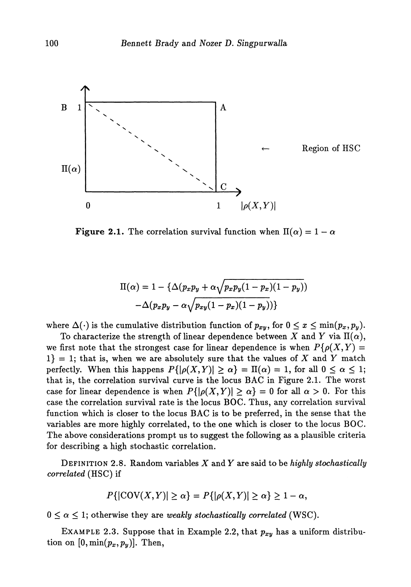

**Figure 2.1.** The correlation survival function when  $\Pi(\alpha) = 1 - \alpha$ 

$$
\Pi(\alpha) = 1 - \left\{ \Delta(p_x p_y + \alpha \sqrt{p_x p_y (1 - p_x)(1 - p_y)}) - \Delta(p_x p_y - \alpha \sqrt{p_{xy} (1 - p_x)(1 - p_y)}) \right\}
$$

where  $\Delta(\cdot)$  is the cumulative distribution function of  $p_{xy}$ , for  $0 \leq x \leq \min(p_x, p_y)$ .

To characterize the strength of linear dependence between X and Y via  $\Pi(\alpha)$ , we first note that the strongest case for linear dependence is when  $P\{\rho(X,Y)=\}$  $1$ } = 1; that is, when we are absolutely sure that the values of X and Y match perfectly. When this happens  $P\{|\rho(X,Y)| \ge \alpha\} = \Pi(\alpha) = 1$ , for all  $0 \le \alpha \le 1$ ; that is, the correlation survival curve is the locus BAC in Figure 2.1. The worst case for linear dependence is when  $P\{|p(X, Y)| \ge \alpha\} = 0$  for all  $\alpha > 0$ . For this case the correlation survival rate is the locus BOC. Thus, any correlation survival function which is closer to the locus BAC is to be preferred, in the sense that the variables are more highly correlated, to the one which is closer to the locus BOC. The above considerations prompt us to suggest the following as a plausible criteria for describing a high stochastic correlation.

DEFINITION 2.8. Random variables *X* and *Y* are said to be *highly stochastically correlated* (HSC) if

$$
P\{|\text{COV}(X,Y)| \geq \alpha\} = P\{|\rho(X,Y)| \geq \alpha\} \geq 1 - \alpha,
$$

 $0 \leq \alpha \leq 1$ ; otherwise they are *weakly stochastically correlated* (WSC).

EXAMPLE 2.3. Suppose that in Example 2.2, that *pxy* has a uniform distribu tion on  $[0, \min(p_x, p_y)]$ . Then,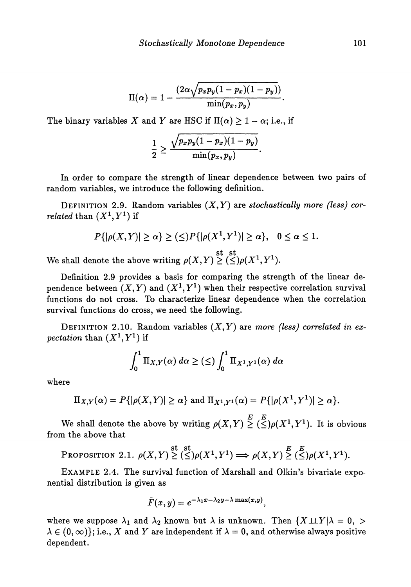$$
\Pi(\alpha)=1-\frac{(2\alpha\sqrt{p_xp_y(1-p_x)(1-p_y)})}{\min(p_x,p_y)}.
$$

The binary variables X and Y are HSC if  $\Pi(\alpha) \geq 1 - \alpha$ ; i.e., if

$$
\frac{1}{2} \geq \frac{\sqrt{p_x p_y (1-p_x)(1-p_y)}}{\min(p_x, p_y)}
$$

In order to compare the strength of linear dependence between two pairs of random variables, we introduce the following definition.

DEFINITION 2.9. Random variables (X,Y) are *stochastically more (less) cor* $related\ than\ (X^1,Y^1)\ {\rm if}$ 

$$
P\{|\rho(X,Y)| \ge \alpha\} \ge (\le)P\{|\rho(X^1,Y^1)| \ge \alpha\}, \quad 0 \le \alpha \le 1.
$$
  
note the above writing  $\rho(X,Y) \ge (\le) \rho(X^1,Y^1).$ 

We shall denote the above writing  $\rho(X,Y) \geq (\leq) \rho(X)$ 

Definition 2.9 provides a basis for comparing the strength of the linear de pendence between  $(X, Y)$  and  $(X^1, Y^1)$  when their respective correlation survival functions do not cross. To characterize linear dependence when the correlation survival functions do cross, we need the following.

DEFINITION 2.10. Random variables (X, *Y)* are *more (less) correlated in expectation* than  $(X^1, Y^1)$  if

$$
\int_0^1 \Pi_{X,Y}(\alpha) \, d\alpha \geq (\leq) \int_0^1 \Pi_{X^1,Y^1}(\alpha) \, d\alpha
$$

where

$$
\Pi_{X,Y}(\alpha) = P\{|\rho(X,Y)| \geq \alpha\} \text{ and } \Pi_{X^1,Y^1}(\alpha) = P\{|\rho(X^1,Y^1)| \geq \alpha\}.
$$

*E E* We shall denote the above by writing  $\rho(X, Y) \geq (\leq) \rho(X^1, Y^1)$ . It is obvious from the above that

PROPOSITION 2.1. 
$$
\rho(X,Y) \geq \left(\leq \right) \rho(X^1,Y^1) \Longrightarrow \rho(X,Y) \geq \left(\leq \right) \rho(X^1,Y^1).
$$

EXAMPLE 2.4. The survival function of Marshall and Olkin's bivariate expo nential distribution is given as

$$
\bar{F}(x,y) = e^{-\lambda_1 x - \lambda_2 y - \lambda \max(x,y)},
$$

where we suppose  $\lambda_1$  and  $\lambda_2$  known but  $\lambda$  is unknown. Then  $\{X \perp \perp Y | \lambda = 0, >$  $\lambda \in (0,\infty)$ ; i.e., X and Y are independent if  $\lambda = 0$ , and otherwise always positive dependent.